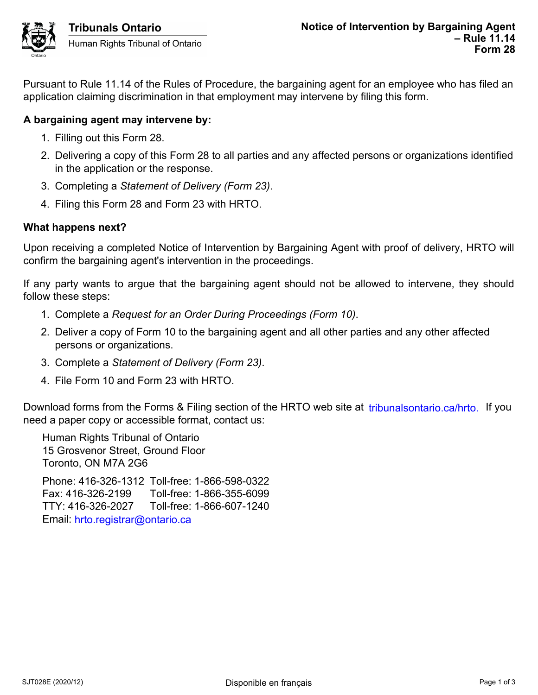Pursuant to Rule 11.14 of the Rules of Procedure, the bargaining agent for an employee who has filed an application claiming discrimination in that employment may intervene by filing this form.

# **A bargaining agent may intervene by:**

- 1. Filling out this Form 28.
- 2. Delivering a copy of this Form 28 to all parties and any affected persons or organizations identified in the application or the response.
- 3. Completing a *Statement of Delivery (Form 23)*.
- 4. Filing this Form 28 and Form 23 with HRTO.

## **What happens next?**

Upon receiving a completed Notice of Intervention by Bargaining Agent with proof of delivery, HRTO will confirm the bargaining agent's intervention in the proceedings.

If any party wants to argue that the bargaining agent should not be allowed to intervene, they should follow these steps:

- 1. Complete a *Request for an Order During Proceedings (Form 10)*.
- 2. Deliver a copy of Form 10 to the bargaining agent and all other parties and any other affected persons or organizations.
- 3. Complete a *Statement of Delivery (Form 23)*.
- 4. File Form 10 and Form 23 with HRTO.

Download forms from the Forms & Filing section of the HRTO web site at *tribunalsontario.ca/hrto.* If you need a paper copy or accessible format, contact us:

Human Rights Tribunal of Ontario 15 Grosvenor Street, Ground Floor Toronto, ON M7A 2G6 Phone: 416-326-1312 Toll-free: 1-866-598-0322 Fax: 416-326-2199 Toll-free: 1-866-355-6099 TTY: 416-326-2027 Toll-free: 1-866-607-1240 forms from the Forms & Filing section of the HRTO web site at tribunalsontario.ca/hrto. If you<br>ere copy or accessible format, contact us:<br>Rights Tribunal of Ontario<br>svenor Street, Ground Floor<br>0, ON M7A 2G6<br>1416-326-21392

Email: hrto.registrar@ontario.ca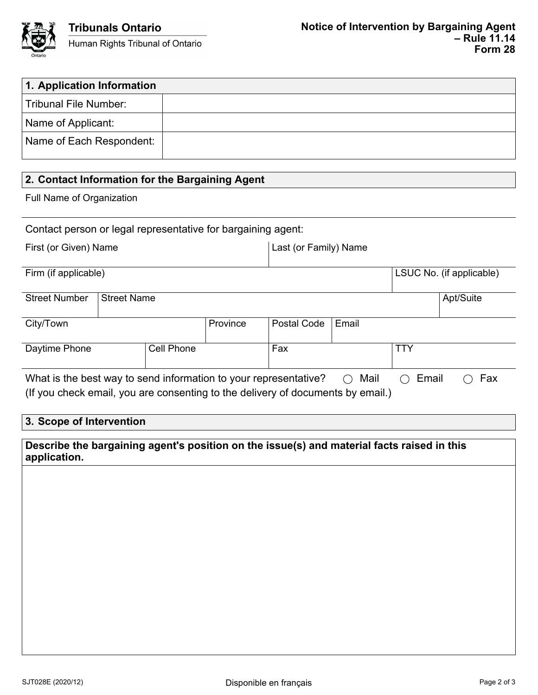

| 1. Application Information                                       |                    |                   |          |                       |                          |            |           |
|------------------------------------------------------------------|--------------------|-------------------|----------|-----------------------|--------------------------|------------|-----------|
| <b>Tribunal File Number:</b>                                     |                    |                   |          |                       |                          |            |           |
| Name of Applicant:                                               |                    |                   |          |                       |                          |            |           |
| Name of Each Respondent:                                         |                    |                   |          |                       |                          |            |           |
|                                                                  |                    |                   |          |                       |                          |            |           |
| 2. Contact Information for the Bargaining Agent                  |                    |                   |          |                       |                          |            |           |
| Full Name of Organization                                        |                    |                   |          |                       |                          |            |           |
| Contact person or legal representative for bargaining agent:     |                    |                   |          |                       |                          |            |           |
| First (or Given) Name                                            |                    |                   |          | Last (or Family) Name |                          |            |           |
| Firm (if applicable)                                             |                    |                   |          |                       | LSUC No. (if applicable) |            |           |
| <b>Street Number</b>                                             | <b>Street Name</b> |                   |          |                       |                          |            | Apt/Suite |
| City/Town                                                        |                    |                   | Province | Postal Code           | Email                    |            |           |
| Daytime Phone                                                    |                    | <b>Cell Phone</b> |          | Fax                   |                          | <b>TTY</b> |           |
| What is the best way to send information to your representative? |                    |                   |          |                       | Mail                     | Email      | Fax       |

(If you check email, you are consenting to the delivery of documents by email.)

# **3. Scope of Intervention**

**Describe the bargaining agent's position on the issue(s) and material facts raised in this application.**